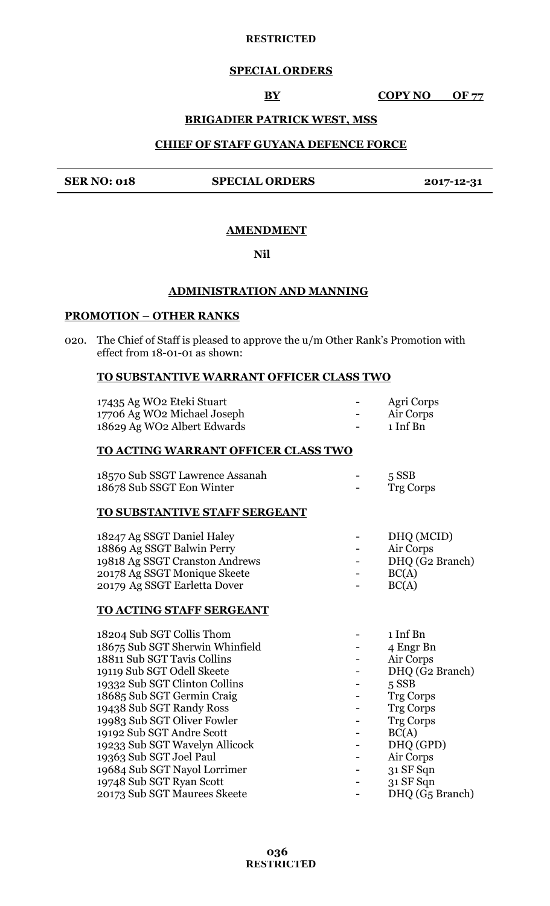# **SPECIAL ORDERS**

**BY COPY NO OF 77** 

# **BRIGADIER PATRICK WEST, MSS**

## **CHIEF OF STAFF GUYANA DEFENCE FORCE**

## **SER NO: 018 SPECIAL ORDERS 2017-12-31**

## **AMENDMENT**

#### **Nil**

# **ADMINISTRATION AND MANNING**

# **PROMOTION – OTHER RANKS**

020. The Chief of Staff is pleased to approve the u/m Other Rank's Promotion with effect from 18-01-01 as shown:

## **TO SUBSTANTIVE WARRANT OFFICER CLASS TWO**

| 17435 Ag WO2 Eteki Stuart   | $\overline{\phantom{a}}$ | Agri Corps |
|-----------------------------|--------------------------|------------|
| 17706 Ag WO2 Michael Joseph | $\overline{\phantom{a}}$ | Air Corps  |
| 18629 Ag WO2 Albert Edwards | $\sim$                   | 1 Inf Bn   |

# **TO ACTING WARRANT OFFICER CLASS TWO**

| 18570 Sub SSGT Lawrence Assanah | $\sim$                   | $5$ SSB   |
|---------------------------------|--------------------------|-----------|
| 18678 Sub SSGT Eon Winter       | $\overline{\phantom{a}}$ | Trg Corps |

# **TO SUBSTANTIVE STAFF SERGEANT**

| 18247 Ag SSGT Daniel Haley     | $\sim$ 100 $\mu$         | DHQ (MCID)      |
|--------------------------------|--------------------------|-----------------|
| 18869 Ag SSGT Balwin Perry     | $\overline{\phantom{a}}$ | Air Corps       |
| 19818 Ag SSGT Cranston Andrews | $\sim$                   | DHQ (G2 Branch) |
| 20178 Ag SSGT Monique Skeete   | $\overline{\phantom{a}}$ | BC(A)           |
| 20179 Ag SSGT Earletta Dover   | $\blacksquare$           | BC(A)           |

#### **TO ACTING STAFF SERGEANT**

| 18204 Sub SGT Collis Thom       | 1 Inf Bn                    |
|---------------------------------|-----------------------------|
| 18675 Sub SGT Sherwin Whinfield | 4 Engr Bn                   |
| 18811 Sub SGT Tavis Collins     | Air Corps                   |
| 19119 Sub SGT Odell Skeete      | DHQ (G2 Branch)             |
| 19332 Sub SGT Clinton Collins   | $5$ SSB                     |
| 18685 Sub SGT Germin Craig      | <b>Trg Corps</b>            |
| 19438 Sub SGT Randy Ross        | <b>Trg Corps</b>            |
| 19983 Sub SGT Oliver Fowler     | <b>Trg Corps</b>            |
| 19192 Sub SGT Andre Scott       | BC(A)                       |
| 19233 Sub SGT Wavelyn Allicock  | DHQ (GPD)                   |
| 19363 Sub SGT Joel Paul         | Air Corps                   |
| 19684 Sub SGT Nayol Lorrimer    | 31 SF Sqn                   |
| 19748 Sub SGT Ryan Scott        | 31 SF Sqn                   |
| 20173 Sub SGT Maurees Skeete    | DHQ (G <sub>5</sub> Branch) |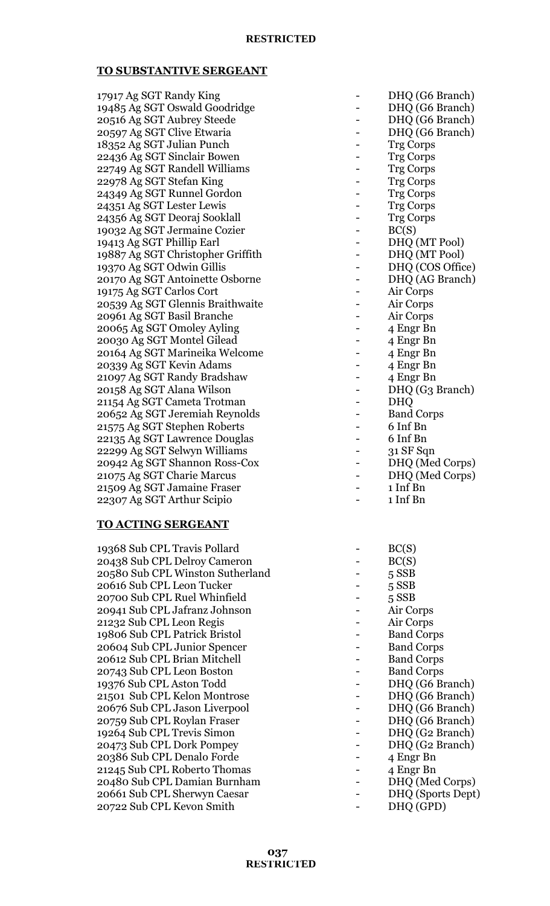## **TO SUBSTANTIVE SERGEANT**

| 17917 Ag SGT Randy King           | DHQ (G6 Branch)   |
|-----------------------------------|-------------------|
| 19485 Ag SGT Oswald Goodridge     | DHQ (G6 Branch)   |
| 20516 Ag SGT Aubrey Steede        | DHQ (G6 Branch)   |
| 20597 Ag SGT Clive Etwaria        | DHQ (G6 Branch)   |
| 18352 Ag SGT Julian Punch         | <b>Trg Corps</b>  |
| 22436 Ag SGT Sinclair Bowen       | <b>Trg Corps</b>  |
| 22749 Ag SGT Randell Williams     | <b>Trg Corps</b>  |
| 22978 Ag SGT Stefan King          | <b>Trg Corps</b>  |
| 24349 Ag SGT Runnel Gordon        | <b>Trg Corps</b>  |
| 24351 Ag SGT Lester Lewis         | <b>Trg Corps</b>  |
| 24356 Ag SGT Deoraj Sooklall      | <b>Trg Corps</b>  |
| 19032 Ag SGT Jermaine Cozier      | BC(S)             |
| 19413 Ag SGT Phillip Earl         | DHQ (MT Pool)     |
| 19887 Ag SGT Christopher Griffith | DHQ (MT Pool)     |
| 19370 Ag SGT Odwin Gillis         | DHQ (COS Office)  |
| 20170 Ag SGT Antoinette Osborne   | DHQ (AG Branch)   |
| 19175 Ag SGT Carlos Cort          | Air Corps         |
| 20539 Ag SGT Glennis Braithwaite  | Air Corps         |
| 20961 Ag SGT Basil Branche        | Air Corps         |
| 20065 Ag SGT Omoley Ayling        | 4 Engr Bn         |
| 20030 Ag SGT Montel Gilead        | 4 Engr Bn         |
| 20164 Ag SGT Marineika Welcome    | 4 Engr Bn         |
| 20339 Ag SGT Kevin Adams          | 4 Engr Bn         |
| 21097 Ag SGT Randy Bradshaw       | 4 Engr Bn         |
| 20158 Ag SGT Alana Wilson         | DHQ (G3 Branch)   |
| 21154 Ag SGT Cameta Trotman       | <b>DHQ</b>        |
| 20652 Ag SGT Jeremiah Reynolds    | <b>Band Corps</b> |
| 21575 Ag SGT Stephen Roberts      | 6 Inf Bn          |
| 22135 Ag SGT Lawrence Douglas     | 6 Inf Bn          |
| 22299 Ag SGT Selwyn Williams      | 31 SF Sqn         |
| 20942 Ag SGT Shannon Ross-Cox     | DHQ (Med Corps)   |
| 21075 Ag SGT Charie Marcus        | DHQ (Med Corps)   |
| 21509 Ag SGT Jamaine Fraser       | 1 Inf Bn          |
| 22307 Ag SGT Arthur Scipio        | 1 Inf Bn          |

#### **TO ACTING SERGEANT**

19368 Sub CPL Travis Pollard 20438 Sub CPL Delroy Cameron -20580 Sub CPL Winston Sutherland -20616 Sub CPL Leon Tucker - 5 SSBB 20700 Sub CPL Ruel Whinfield -20941 Sub CPL Jafranz Johnson -21232 Sub CPL Leon Regis -19806 Sub CPL Patrick Bristol -20604 Sub CPL Junior Spencer -20612 Sub CPL Brian Mitchell -20743 Sub CPL Leon Boston -19376 Sub CPL Aston Todd -21501 Sub CPL Kelon Montrose -20676 Sub CPL Jason Liverpool -20759 Sub CPL Roylan Fraser 19264 Sub CPL Trevis Simon -20473 Sub CPL Dork Pompey 20386 Sub CPL Denalo Forde 21245 Sub CPL Roberto Thomas 20480 Sub CPL Damian Burnham -20661 Sub CPL Sherwyn Caesar - DHQ (Sports Dept) 20722 Sub CPL Kevon Smith - DHQ (GPD)

| DHQ (G6 Branch)                 |
|---------------------------------|
| DHQ (G6 Branch)                 |
| DHQ (G6 Branch)                 |
| DHQ (G6 Branch)                 |
| <b>Trg Corps</b>                |
| Trg Corps                       |
| <b>Trg Corps</b>                |
| <b>Trg Corps</b>                |
| <b>Trg Corps</b>                |
| Trg Corps                       |
| <b>Trg Corps</b>                |
| BC(S)                           |
| DHQ (MT Pool)                   |
| DHQ (MT Pool)                   |
| DHQ (COS Office)                |
| DHQ (AG Branch)                 |
| Air Corps                       |
| Air Corps                       |
| Air Corps                       |
| 4 Engr Bn                       |
| 4 Engr Bn                       |
| 4 Engr Bn                       |
| 4 Engr Bn                       |
| 4 Engr Bn                       |
| DHQ (G3 Branch)                 |
| <b>DHQ</b>                      |
| <b>Band Corps</b>               |
| 6 Inf Bn                        |
| 6 Inf Bn                        |
| 31 SF Sqn                       |
| DHQ (Med Corps)                 |
| DHQ (Med Corps)                 |
| 1 Inf Bn                        |
| $\mathbf{r}$ $\mathbf{r}$<br>D. |

| 1 Inf Bn |
|----------|
|          |
|          |

| BC(S)             |
|-------------------|
| BC(S)             |
| 5 SSB             |
| 5 SSB             |
| $5$ SSB           |
| Air Corps         |
| Air Corps         |
| <b>Band Corps</b> |
| <b>Band Corps</b> |
| <b>Band Corps</b> |
| <b>Band Corps</b> |
| DHQ (G6 Branch)   |
| DHQ (G6 Branch)   |
| DHQ (G6 Branch)   |
| DHQ (G6 Branch)   |
| DHQ (G2 Branch)   |
| DHQ (G2 Branch)   |
| 4 Engr Bn         |
| 4 Engr Bn         |
| DHQ (Med Corps)   |
| DHQ (Sports Dept) |
|                   |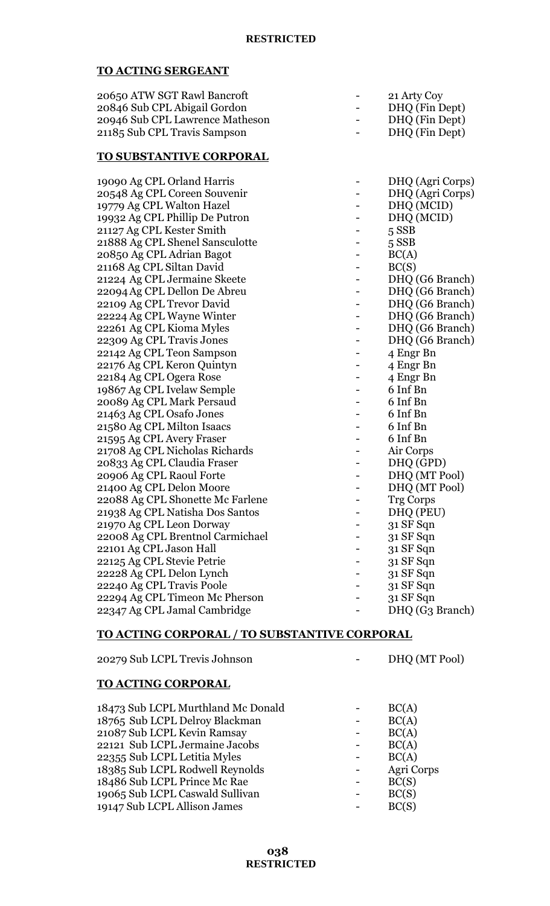# **TO ACTING SERGEANT**

| 20650 ATW SGT Rawl Bancroft     |                          | 21 Arty Coy    |
|---------------------------------|--------------------------|----------------|
| 20846 Sub CPL Abigail Gordon    |                          | DHQ (Fin Dept) |
| 20946 Sub CPL Lawrence Matheson |                          | DHQ (Fin Dept) |
| 21185 Sub CPL Travis Sampson    | $\overline{\phantom{a}}$ | DHQ (Fin Dept) |
|                                 |                          |                |

#### **TO SUBSTANTIVE CORPORAL**

| 19090 Ag CPL Orland Harris       | DHQ (Agri Corps) |
|----------------------------------|------------------|
| 20548 Ag CPL Coreen Souvenir     | DHQ (Agri Corps) |
| 19779 Ag CPL Walton Hazel        | DHQ (MCID)       |
| 19932 Ag CPL Phillip De Putron   | DHQ (MCID)       |
| 21127 Ag CPL Kester Smith        | 5 SSB            |
| 21888 Ag CPL Shenel Sansculotte  | 5 SSB            |
| 20850 Ag CPL Adrian Bagot        | BC(A)            |
| 21168 Ag CPL Siltan David        | BC(S)            |
| 21224 Ag CPL Jermaine Skeete     | DHQ (G6 Branch)  |
| 22094 Ag CPL Dellon De Abreu     | DHQ (G6 Branch)  |
| 22109 Ag CPL Trevor David        | DHQ (G6 Branch)  |
| 22224 Ag CPL Wayne Winter        | DHQ (G6 Branch)  |
| 22261 Ag CPL Kioma Myles         | DHQ (G6 Branch)  |
| 22309 Ag CPL Travis Jones        | DHQ (G6 Branch)  |
| 22142 Ag CPL Teon Sampson        | 4 Engr Bn        |
| 22176 Ag CPL Keron Quintyn       | 4 Engr Bn        |
| 22184 Ag CPL Ogera Rose          | 4 Engr Bn        |
| 19867 Ag CPL Ivelaw Semple       | 6 Inf Bn         |
| 20089 Ag CPL Mark Persaud        | 6 Inf Bn         |
| 21463 Ag CPL Osafo Jones         | 6 Inf Bn         |
| 21580 Ag CPL Milton Isaacs       | 6 Inf Bn         |
| 21595 Ag CPL Avery Fraser        | 6 Inf Bn         |
| 21708 Ag CPL Nicholas Richards   | Air Corps        |
| 20833 Ag CPL Claudia Fraser      | DHQ (GPD)        |
| 20906 Ag CPL Raoul Forte         | DHQ (MT Pool)    |
| 21400 Ag CPL Delon Moore         | DHQ (MT Pool)    |
| 22088 Ag CPL Shonette Mc Farlene | <b>Trg Corps</b> |
| 21938 Ag CPL Natisha Dos Santos  | DHQ (PEU)        |
| 21970 Ag CPL Leon Dorway         | 31 SF Sqn        |
| 22008 Ag CPL Brentnol Carmichael | 31 SF Sqn        |
| 22101 Ag CPL Jason Hall          | 31 SF Sqn        |
| 22125 Ag CPL Stevie Petrie       | 31 SF Sqn        |
| 22228 Ag CPL Delon Lynch         | 31 SF Sqn        |
| 22240 Ag CPL Travis Poole        | 31 SF Sqn        |
| 22294 Ag CPL Timeon Mc Pherson   | 31 SF Sqn        |
| 22347 Ag CPL Jamal Cambridge     | DHQ (G3 Branch)  |

# **TO ACTING CORPORAL / TO SUBSTANTIVE CORPORAL**

20279 Sub LCPL Trevis Johnson - DHQ (MT Pool)

# **TO ACTING CORPORAL**

| 18473 Sub LCPL Murthland Mc Donald | BC(A)      |
|------------------------------------|------------|
| 18765 Sub LCPL Delroy Blackman     | BC(A)      |
| 21087 Sub LCPL Kevin Ramsay        | BC(A)      |
| 22121 Sub LCPL Jermaine Jacobs     | BC(A)      |
| 22355 Sub LCPL Letitia Myles       | BC(A)      |
| 18385 Sub LCPL Rodwell Reynolds    | Agri Corps |
| 18486 Sub LCPL Prince Mc Rae       | BC(S)      |
| 19065 Sub LCPL Caswald Sullivan    | BC(S)      |
| 19147 Sub LCPL Allison James       | BC(S)      |
|                                    |            |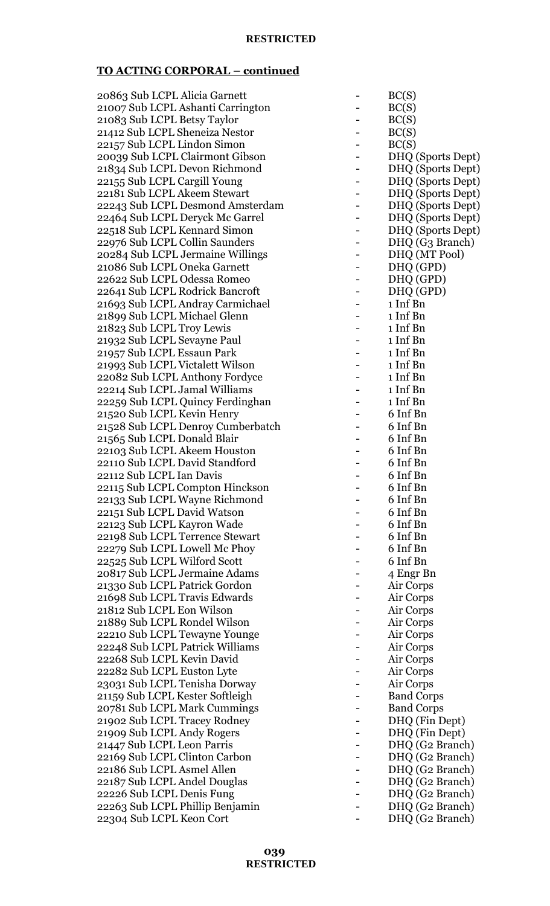| 20863 Sub LCPL Alicia Garnett     |   | BC(S)             |
|-----------------------------------|---|-------------------|
| 21007 Sub LCPL Ashanti Carrington |   | BC(S)             |
| 21083 Sub LCPL Betsy Taylor       |   | BC(S)             |
| 21412 Sub LCPL Sheneiza Nestor    |   | BC(S)             |
| 22157 Sub LCPL Lindon Simon       |   | BC(S)             |
|                                   |   |                   |
| 20039 Sub LCPL Clairmont Gibson   |   | DHQ (Sports Dept) |
| 21834 Sub LCPL Devon Richmond     |   | DHQ (Sports Dept) |
| 22155 Sub LCPL Cargill Young      |   | DHQ (Sports Dept) |
| 22181 Sub LCPL Akeem Stewart      |   | DHQ (Sports Dept) |
| 22243 Sub LCPL Desmond Amsterdam  |   | DHQ (Sports Dept) |
| 22464 Sub LCPL Deryck Mc Garrel   |   | DHQ (Sports Dept) |
| 22518 Sub LCPL Kennard Simon      |   | DHQ (Sports Dept) |
|                                   |   |                   |
| 22976 Sub LCPL Collin Saunders    |   | DHQ (G3 Branch)   |
| 20284 Sub LCPL Jermaine Willings  |   | DHQ (MT Pool)     |
| 21086 Sub LCPL Oneka Garnett      |   | DHQ (GPD)         |
| 22622 Sub LCPL Odessa Romeo       |   | DHQ (GPD)         |
| 22641 Sub LCPL Rodrick Bancroft   |   | DHQ (GPD)         |
| 21693 Sub LCPL Andray Carmichael  |   | 1 Inf Bn          |
| 21899 Sub LCPL Michael Glenn      |   | 1 Inf Bn          |
| 21823 Sub LCPL Troy Lewis         |   | 1 Inf Bn          |
|                                   |   | 1 Inf Bn          |
| 21932 Sub LCPL Sevayne Paul       |   |                   |
| 21957 Sub LCPL Essaun Park        |   | 1 Inf Bn          |
| 21993 Sub LCPL Victalett Wilson   |   | 1 Inf Bn          |
| 22082 Sub LCPL Anthony Fordyce    |   | 1 Inf Bn          |
| 22214 Sub LCPL Jamal Williams     |   | 1 Inf Bn          |
| 22259 Sub LCPL Quincy Ferdinghan  |   | 1 Inf Bn          |
| 21520 Sub LCPL Kevin Henry        |   | 6 Inf Bn          |
| 21528 Sub LCPL Denroy Cumberbatch |   | 6 Inf Bn          |
| 21565 Sub LCPL Donald Blair       |   | 6 Inf Bn          |
| 22103 Sub LCPL Akeem Houston      |   | 6 Inf Bn          |
|                                   |   |                   |
| 22110 Sub LCPL David Standford    |   | 6 Inf Bn          |
| 22112 Sub LCPL Ian Davis          |   | 6 Inf Bn          |
| 22115 Sub LCPL Compton Hinckson   | Ξ | 6 Inf Bn          |
| 22133 Sub LCPL Wayne Richmond     |   | 6 Inf Bn          |
| 22151 Sub LCPL David Watson       |   | 6 Inf Bn          |
| 22123 Sub LCPL Kayron Wade        |   | 6 Inf Bn          |
| 22198 Sub LCPL Terrence Stewart   |   | 6 Inf Bn          |
| 22279 Sub LCPL Lowell Mc Phoy     |   | 6 Inf Bn          |
| 22525 Sub LCPL Wilford Scott      |   | 6 Inf Bn          |
|                                   |   |                   |
| 20817 Sub LCPL Jermaine Adams     |   | 4 Engr Bn         |
| 21330 Sub LCPL Patrick Gordon     |   | Air Corps         |
| 21698 Sub LCPL Travis Edwards     |   | Air Corps         |
| 21812 Sub LCPL Eon Wilson         |   | Air Corps         |
| 21889 Sub LCPL Rondel Wilson      |   | Air Corps         |
| 22210 Sub LCPL Tewayne Younge     |   | Air Corps         |
| 22248 Sub LCPL Patrick Williams   |   | Air Corps         |
| 22268 Sub LCPL Kevin David        |   | Air Corps         |
| 22282 Sub LCPL Euston Lyte        |   | Air Corps         |
| 23031 Sub LCPL Tenisha Dorway     |   | Air Corps         |
|                                   |   |                   |
| 21159 Sub LCPL Kester Softleigh   |   | <b>Band Corps</b> |
| 20781 Sub LCPL Mark Cummings      |   | <b>Band Corps</b> |
| 21902 Sub LCPL Tracey Rodney      |   | DHQ (Fin Dept)    |
| 21909 Sub LCPL Andy Rogers        |   | DHQ (Fin Dept)    |
| 21447 Sub LCPL Leon Parris        |   | DHQ (G2 Branch)   |
| 22169 Sub LCPL Clinton Carbon     |   | DHQ (G2 Branch)   |
| 22186 Sub LCPL Asmel Allen        |   | DHQ (G2 Branch)   |
| 22187 Sub LCPL Andel Douglas      |   | DHQ (G2 Branch)   |
| 22226 Sub LCPL Denis Fung         |   | DHQ (G2 Branch)   |
| 22263 Sub LCPL Phillip Benjamin   |   | DHQ (G2 Branch)   |
|                                   |   |                   |
| 22304 Sub LCPL Keon Cort          |   | DHQ (G2 Branch)   |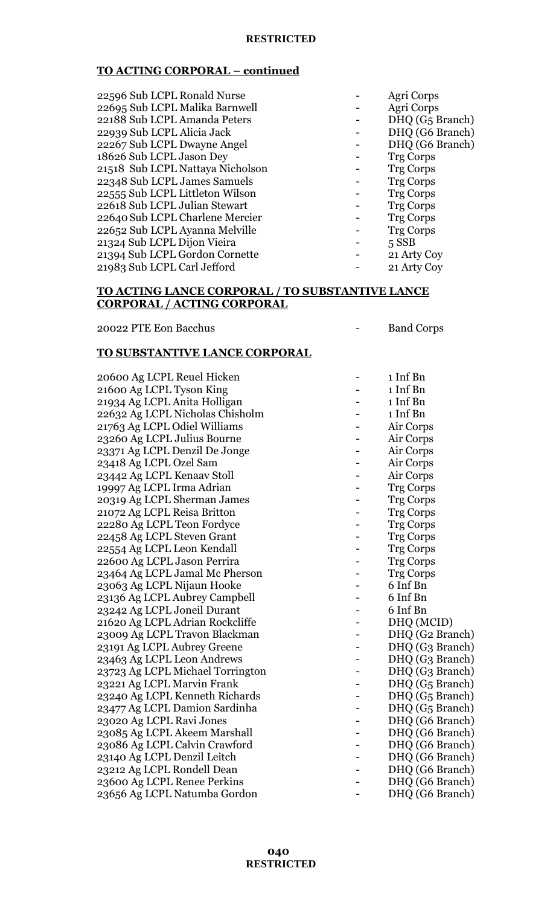| 22596 Sub LCPL Ronald Nurse      | Agri Corps                  |
|----------------------------------|-----------------------------|
| 22695 Sub LCPL Malika Barnwell   | Agri Corps                  |
| 22188 Sub LCPL Amanda Peters     | DHQ (G <sub>5</sub> Branch) |
| 22939 Sub LCPL Alicia Jack       | DHQ (G6 Branch)             |
| 22267 Sub LCPL Dwayne Angel      | DHQ (G6 Branch)             |
| 18626 Sub LCPL Jason Dey         | <b>Trg Corps</b>            |
| 21518 Sub LCPL Nattaya Nicholson | <b>Trg Corps</b>            |
| 22348 Sub LCPL James Samuels     | <b>Trg Corps</b>            |
| 22555 Sub LCPL Littleton Wilson  | <b>Trg Corps</b>            |
| 22618 Sub LCPL Julian Stewart    | <b>Trg Corps</b>            |
| 22640 Sub LCPL Charlene Mercier  | <b>Trg Corps</b>            |
| 22652 Sub LCPL Ayanna Melville   | <b>Trg Corps</b>            |
| 21324 Sub LCPL Dijon Vieira      | $5$ SSB                     |
| 21394 Sub LCPL Gordon Cornette   | 21 Arty Coy                 |
| 21983 Sub LCPL Carl Jefford      | 21 Arty Coy                 |
|                                  |                             |

## **TO ACTING LANCE CORPORAL / TO SUBSTANTIVE LANCE CORPORAL / ACTING CORPORAL**

20022 PTE Eon Bacchus - Band Corps

# **TO SUBSTANTIVE LANCE CORPORAL**

| 20600 Ag LCPL Reuel Hicken       | 1 Inf Bn                    |
|----------------------------------|-----------------------------|
| 21600 Ag LCPL Tyson King         | 1 Inf Bn                    |
| 21934 Ag LCPL Anita Holligan     | 1 Inf Bn                    |
| 22632 Ag LCPL Nicholas Chisholm  | 1 Inf Bn                    |
| 21763 Ag LCPL Odiel Williams     | Air Corps                   |
| 23260 Ag LCPL Julius Bourne      | Air Corps                   |
| 23371 Ag LCPL Denzil De Jonge    | Air Corps                   |
| 23418 Ag LCPL Ozel Sam           | Air Corps                   |
| 23442 Ag LCPL Kenaav Stoll       | Air Corps                   |
| 19997 Ag LCPL Irma Adrian        | <b>Trg Corps</b>            |
| 20319 Ag LCPL Sherman James      | <b>Trg Corps</b>            |
| 21072 Ag LCPL Reisa Britton      | <b>Trg Corps</b>            |
| 22280 Ag LCPL Teon Fordyce       | <b>Trg Corps</b>            |
| 22458 Ag LCPL Steven Grant       | <b>Trg Corps</b>            |
| 22554 Ag LCPL Leon Kendall       | <b>Trg Corps</b>            |
| 22600 Ag LCPL Jason Perrira      | <b>Trg Corps</b>            |
| 23464 Ag LCPL Jamal Mc Pherson   | <b>Trg Corps</b>            |
| 23063 Ag LCPL Nijaun Hooke       | 6 Inf Bn                    |
| 23136 Ag LCPL Aubrey Campbell    | 6 Inf Bn                    |
| 23242 Ag LCPL Joneil Durant      | 6 Inf Bn                    |
| 21620 Ag LCPL Adrian Rockcliffe  | DHQ (MCID)                  |
| 23009 Ag LCPL Travon Blackman    | DHQ (G2 Branch)             |
| 23191 Ag LCPL Aubrey Greene      | DHQ (G3 Branch)             |
| 23463 Ag LCPL Leon Andrews       | DHQ (G3 Branch)             |
| 23723 Ag LCPL Michael Torrington | DHQ (G3 Branch)             |
| 23221 Ag LCPL Marvin Frank       | DHQ (G <sub>5</sub> Branch) |
| 23240 Ag LCPL Kenneth Richards   | DHQ (G <sub>5</sub> Branch) |
| 23477 Ag LCPL Damion Sardinha    | DHQ (G <sub>5</sub> Branch) |
| 23020 Ag LCPL Ravi Jones         | DHQ (G6 Branch)             |
| 23085 Ag LCPL Akeem Marshall     | DHQ (G6 Branch)             |
| 23086 Ag LCPL Calvin Crawford    | DHQ (G6 Branch)             |
| 23140 Ag LCPL Denzil Leitch      | DHQ (G6 Branch)             |
| 23212 Ag LCPL Rondell Dean       | DHQ (G6 Branch)             |
| 23600 Ag LCPL Renee Perkins      | DHQ (G6 Branch)             |
| 23656 Ag LCPL Natumba Gordon     | DHQ (G6 Branch)             |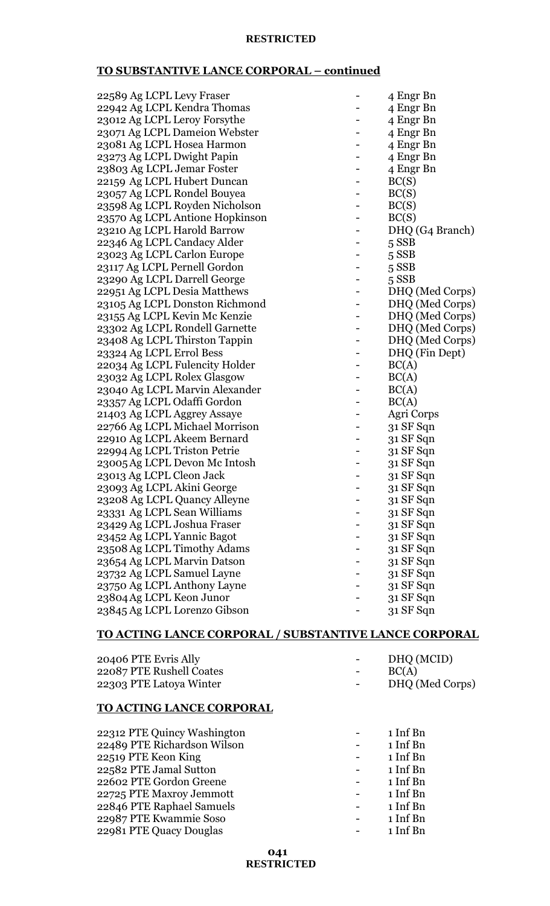# **TO SUBSTANTIVE LANCE CORPORAL – continued**

| 22589 Ag LCPL Levy Fraser       | 4 Engr Bn       |
|---------------------------------|-----------------|
| 22942 Ag LCPL Kendra Thomas     | 4 Engr Bn       |
| 23012 Ag LCPL Leroy Forsythe    | 4 Engr Bn       |
| 23071 Ag LCPL Dameion Webster   | 4 Engr Bn       |
| 23081 Ag LCPL Hosea Harmon      | 4 Engr Bn       |
| 23273 Ag LCPL Dwight Papin      | 4 Engr Bn       |
| 23803 Ag LCPL Jemar Foster      | 4 Engr Bn       |
| 22159 Ag LCPL Hubert Duncan     | BC(S)           |
| 23057 Ag LCPL Rondel Bouyea     | BC(S)           |
| 23598 Ag LCPL Royden Nicholson  | BC(S)           |
| 23570 Ag LCPL Antione Hopkinson | BC(S)           |
| 23210 Ag LCPL Harold Barrow     | DHQ (G4 Branch) |
| 22346 Ag LCPL Candacy Alder     | 5 SSB           |
| 23023 Ag LCPL Carlon Europe     | $5$ SSB         |
| 23117 Ag LCPL Pernell Gordon    | $5$ SSB         |
| 23290 Ag LCPL Darrell George    | 5 SSB           |
| 22951 Ag LCPL Desia Matthews    | DHQ (Med Corps) |
| 23105 Ag LCPL Donston Richmond  | DHQ (Med Corps) |
| 23155 Ag LCPL Kevin Mc Kenzie   | DHQ (Med Corps) |
| 23302 Ag LCPL Rondell Garnette  | DHQ (Med Corps) |
| 23408 Ag LCPL Thirston Tappin   | DHQ (Med Corps) |
| 23324 Ag LCPL Errol Bess        | DHQ (Fin Dept)  |
| 22034 Ag LCPL Fulencity Holder  | BC(A)           |
| 23032 Ag LCPL Rolex Glasgow     | BC(A)           |
| 23040 Ag LCPL Marvin Alexander  | BC(A)           |
| 23357 Ag LCPL Odaffi Gordon     | BC(A)           |
| 21403 Ag LCPL Aggrey Assaye     | Agri Corps      |
| 22766 Ag LCPL Michael Morrison  | 31 SF Sqn       |
| 22910 Ag LCPL Akeem Bernard     | 31 SF Sqn       |
| 22994 Ag LCPL Triston Petrie    | 31 SF Sqn       |
| 23005 Ag LCPL Devon Mc Intosh   | 31 SF Sqn       |
| 23013 Ag LCPL Cleon Jack        | 31 SF Sqn       |
| 23093 Ag LCPL Akini George      | 31 SF Sqn       |
| 23208 Ag LCPL Quancy Alleyne    | 31 SF Sqn       |
| 23331 Ag LCPL Sean Williams     | 31 SF Sqn       |
| 23429 Ag LCPL Joshua Fraser     | 31 SF Sqn       |
| 23452 Ag LCPL Yannic Bagot      | 31 SF Sqn       |
| 23508 Ag LCPL Timothy Adams     | 31 SF Sqn       |
| 23654 Ag LCPL Marvin Datson     | 31 SF Sqn       |
| 23732 Ag LCPL Samuel Layne      | 31 SF Sqn       |
| 23750 Ag LCPL Anthony Layne     | 31 SF Sqn       |
| 23804 Ag LCPL Keon Junor        | 31 SF Sqn       |
| 23845 Ag LCPL Lorenzo Gibson    | 31 SF Sqn       |
|                                 |                 |

# **TO ACTING LANCE CORPORAL / SUBSTANTIVE LANCE CORPORAL**

| 20406 PTE Evris Ally     | $\sim$ | DHQ (MCID)      |
|--------------------------|--------|-----------------|
| 22087 PTE Rushell Coates | $\sim$ | BC(A)           |
| 22303 PTE Latoya Winter  |        | DHQ (Med Corps) |

# **TO ACTING LANCE CORPORAL**

| 22312 PTE Quincy Washington | 1 Inf Bn |
|-----------------------------|----------|
| 22489 PTE Richardson Wilson | 1 Inf Bn |
| 22519 PTE Keon King         | 1 Inf Bn |
| 22582 PTE Jamal Sutton      | 1 Inf Bn |
| 22602 PTE Gordon Greene     | 1 Inf Bn |
| 22725 PTE Maxroy Jemmott    | 1 Inf Bn |
| 22846 PTE Raphael Samuels   | 1 Inf Bn |
| 22987 PTE Kwammie Soso      | 1 Inf Bn |
| 22981 PTE Quacy Douglas     | 1 Inf Bn |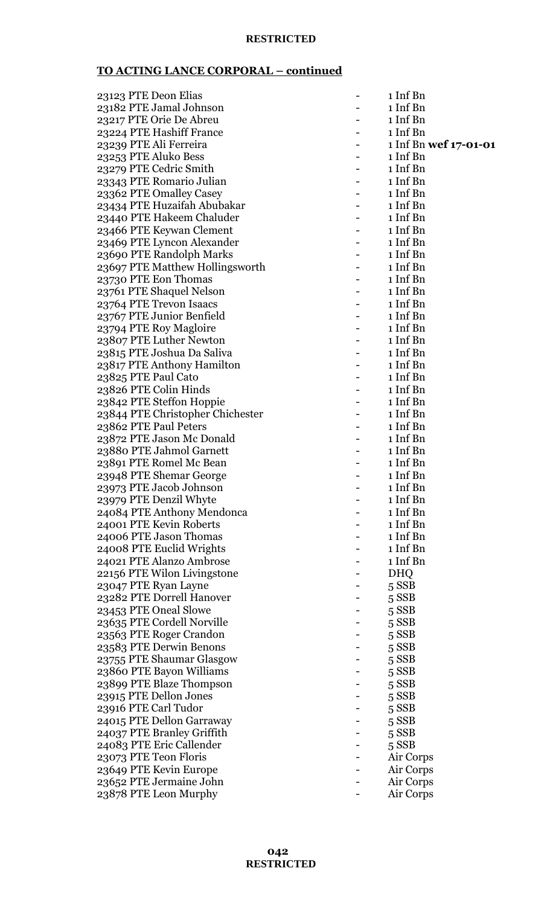| 23123 PTE Deon Elias             | 1 Inf Bn              |
|----------------------------------|-----------------------|
| 23182 PTE Jamal Johnson          | 1 Inf Bn              |
| 23217 PTE Orie De Abreu          | 1 Inf Bn              |
| 23224 PTE Hashiff France         | 1 Inf Bn              |
| 23239 PTE Ali Ferreira           | 1 Inf Bn wef 17-01-01 |
| 23253 PTE Aluko Bess             | 1 Inf Bn              |
| 23279 PTE Cedric Smith           | 1 Inf Bn              |
| 23343 PTE Romario Julian         | 1 Inf Bn              |
| 23362 PTE Omalley Casey          | 1 Inf Bn              |
| 23434 PTE Huzaifah Abubakar      | 1 Inf Bn              |
| 23440 PTE Hakeem Chaluder        | 1 Inf Bn              |
| 23466 PTE Keywan Clement         | 1 Inf Bn              |
| 23469 PTE Lyncon Alexander       | 1 Inf Bn              |
| 23690 PTE Randolph Marks         | 1 Inf Bn              |
| 23697 PTE Matthew Hollingsworth  | 1 Inf Bn              |
| 23730 PTE Eon Thomas             | 1 Inf Bn              |
| 23761 PTE Shaquel Nelson         | 1 Inf Bn              |
| 23764 PTE Trevon Isaacs          | 1 Inf Bn              |
| 23767 PTE Junior Benfield        | 1 Inf Bn              |
| 23794 PTE Roy Magloire           | 1 Inf Bn              |
| 23807 PTE Luther Newton          | 1 Inf Bn              |
| 23815 PTE Joshua Da Saliva       | 1 Inf Bn              |
| 23817 PTE Anthony Hamilton       | 1 Inf Bn              |
| 23825 PTE Paul Cato              | 1 Inf Bn              |
| 23826 PTE Colin Hinds            | 1 Inf Bn              |
| 23842 PTE Steffon Hoppie         | 1 Inf Bn              |
| 23844 PTE Christopher Chichester | 1 Inf Bn              |
| 23862 PTE Paul Peters            | 1 Inf Bn              |
| 23872 PTE Jason Mc Donald        | 1 Inf Bn              |
| 23880 PTE Jahmol Garnett         | 1 Inf Bn              |
| 23891 PTE Romel Mc Bean          | 1 Inf Bn              |
| 23948 PTE Shemar George          | 1 Inf Bn              |
| 23973 PTE Jacob Johnson          | 1 Inf Bn              |
| 23979 PTE Denzil Whyte           | 1 Inf Bn              |
| 24084 PTE Anthony Mendonca       | 1 Inf Bn              |
| 24001 PTE Kevin Roberts          | 1 Inf Bn              |
| 24006 PTE Jason Thomas           | 1 Inf Bn              |
| 24008 PTE Euclid Wrights         | 1 Inf Bn              |
| 24021 PTE Alanzo Ambrose         | 1 Inf Bn              |
| 22156 PTE Wilon Livingstone      | <b>DHQ</b>            |
| 23047 PTE Ryan Layne             | 5 SSB                 |
| 23282 PTE Dorrell Hanover        | $5$ SSB               |
| 23453 PTE Oneal Slowe            | $5$ SSB               |
| 23635 PTE Cordell Norville       | $5$ SSB               |
| 23563 PTE Roger Crandon          | $5$ SSB               |
| 23583 PTE Derwin Benons          | $5$ SSB               |
| 23755 PTE Shaumar Glasgow        | $5$ SSB               |
| 23860 PTE Bayon Williams         | 5 SSB                 |
| 23899 PTE Blaze Thompson         | $5$ SSB               |
| 23915 PTE Dellon Jones           | $5$ SSB               |
| 23916 PTE Carl Tudor             | $5$ SSB               |
| 24015 PTE Dellon Garraway        | $5$ SSB               |
| 24037 PTE Branley Griffith       | $5$ SSB               |
| 24083 PTE Eric Callender         | $5$ SSB               |
| 23073 PTE Teon Floris            | Air Corps             |
| 23649 PTE Kevin Europe           | Air Corps             |
| 23652 PTE Jermaine John          | Air Corps             |
| 23878 PTE Leon Murphy            | Air Corps             |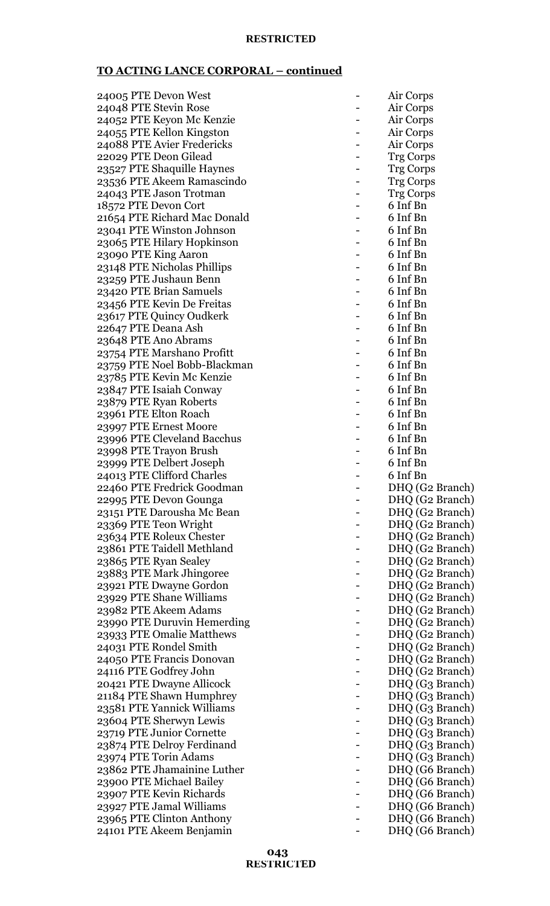| 24005 PTE Devon West                              |   | Air Corps        |
|---------------------------------------------------|---|------------------|
| 24048 PTE Stevin Rose                             |   | Air Corps        |
| 24052 PTE Keyon Mc Kenzie                         |   | Air Corps        |
| 24055 PTE Kellon Kingston                         |   | Air Corps        |
| 24088 PTE Avier Fredericks                        |   | Air Corps        |
| 22029 PTE Deon Gilead                             |   | <b>Trg Corps</b> |
| 23527 PTE Shaquille Haynes                        |   | <b>Trg Corps</b> |
|                                                   |   |                  |
| 23536 PTE Akeem Ramascindo                        |   | <b>Trg Corps</b> |
| 24043 PTE Jason Trotman                           |   | <b>Trg Corps</b> |
| 18572 PTE Devon Cort                              |   | 6 Inf Bn         |
| 21654 PTE Richard Mac Donald                      |   | 6 Inf Bn         |
| 23041 PTE Winston Johnson                         |   | 6 Inf Bn         |
| 23065 PTE Hilary Hopkinson                        |   | 6 Inf Bn         |
| 23090 PTE King Aaron                              |   | 6 Inf Bn         |
| 23148 PTE Nicholas Phillips                       |   | 6 Inf Bn         |
| 23259 PTE Jushaun Benn                            |   | 6 Inf Bn         |
| 23420 PTE Brian Samuels                           |   | 6 Inf Bn         |
| 23456 PTE Kevin De Freitas                        |   | 6 Inf Bn         |
| 23617 PTE Quincy Oudkerk                          |   | 6 Inf Bn         |
| 22647 PTE Deana Ash                               |   | 6 Inf Bn         |
| 23648 PTE Ano Abrams                              |   | 6 Inf Bn         |
| 23754 PTE Marshano Profitt                        |   | 6 Inf Bn         |
| 23759 PTE Noel Bobb-Blackman                      |   | 6 Inf Bn         |
| 23785 PTE Kevin Mc Kenzie                         |   | 6 Inf Bn         |
| 23847 PTE Isaiah Conway                           |   | 6 Inf Bn         |
| 23879 PTE Ryan Roberts                            |   | 6 Inf Bn         |
| 23961 PTE Elton Roach                             |   | 6 Inf Bn         |
| 23997 PTE Ernest Moore                            |   | 6 Inf Bn         |
| 23996 PTE Cleveland Bacchus                       |   | 6 Inf Bn         |
| 23998 PTE Trayon Brush                            |   | 6 Inf Bn         |
| 23999 PTE Delbert Joseph                          |   | 6 Inf Bn         |
| 24013 PTE Clifford Charles                        |   | 6 Inf Bn         |
| 22460 PTE Fredrick Goodman                        |   | DHQ (G2 Branch)  |
| 22995 PTE Devon Gounga                            | - | DHQ (G2 Branch)  |
| 23151 PTE Darousha Mc Bean                        |   | DHQ (G2 Branch)  |
| 23369 PTE Teon Wright                             |   | DHQ (G2 Branch)  |
| 23634 PTE Roleux Chester                          |   | DHQ (G2 Branch)  |
| 23861 PTE Taidell Methland                        |   |                  |
|                                                   |   | DHQ (G2 Branch)  |
| 23865 PTE Ryan Sealey<br>23883 PTE Mark Jhingoree |   | DHQ (G2 Branch)  |
|                                                   |   | DHQ (G2 Branch)  |
| 23921 PTE Dwayne Gordon                           |   | DHQ (G2 Branch)  |
| 23929 PTE Shane Williams                          |   | DHQ (G2 Branch)  |
| 23982 PTE Akeem Adams                             |   | DHQ (G2 Branch)  |
| 23990 PTE Duruvin Hemerding                       |   | DHQ (G2 Branch)  |
| 23933 PTE Omalie Matthews                         |   | DHQ (G2 Branch)  |
| 24031 PTE Rondel Smith                            |   | DHQ (G2 Branch)  |
| 24050 PTE Francis Donovan                         |   | DHQ (G2 Branch)  |
| 24116 PTE Godfrey John                            |   | DHQ (G2 Branch)  |
| 20421 PTE Dwayne Allicock                         |   | DHQ (G3 Branch)  |
| 21184 PTE Shawn Humphrey                          |   | DHQ (G3 Branch)  |
| 23581 PTE Yannick Williams                        |   | DHQ (G3 Branch)  |
| 23604 PTE Sherwyn Lewis                           |   | DHQ (G3 Branch)  |
| 23719 PTE Junior Cornette                         |   | DHQ (G3 Branch)  |
| 23874 PTE Delroy Ferdinand                        |   | DHQ (G3 Branch)  |
| 23974 PTE Torin Adams                             |   | DHQ (G3 Branch)  |
| 23862 PTE Jhamainine Luther                       |   | DHQ (G6 Branch)  |
| 23900 PTE Michael Bailey                          |   | DHQ (G6 Branch)  |
| 23907 PTE Kevin Richards                          |   | DHQ (G6 Branch)  |
| 23927 PTE Jamal Williams                          |   | DHQ (G6 Branch)  |
| 23965 PTE Clinton Anthony                         |   | DHQ (G6 Branch)  |
| 24101 PTE Akeem Benjamin                          |   | DHQ (G6 Branch)  |
|                                                   |   |                  |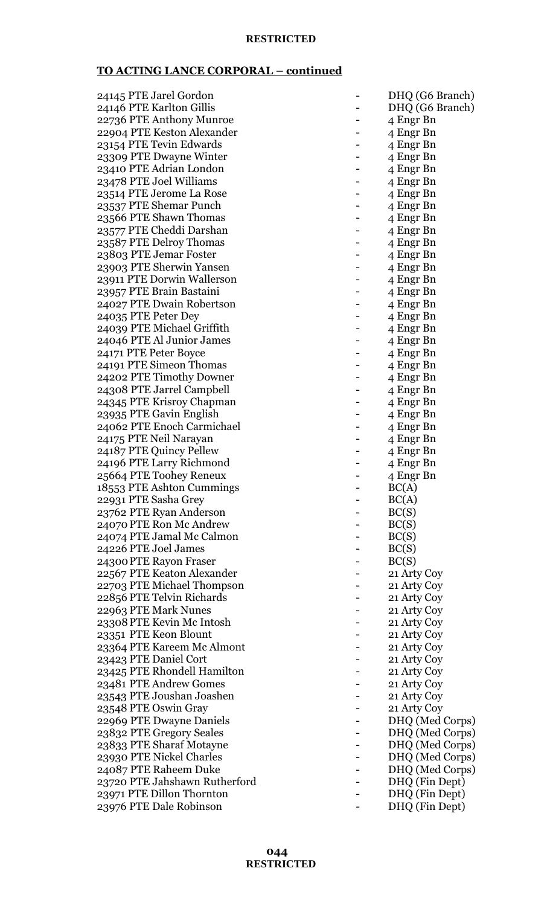| 24145 PTE Jarel Gordon        | DHQ (G6 Branch) |
|-------------------------------|-----------------|
| 24146 PTE Karlton Gillis      | DHQ (G6 Branch) |
|                               |                 |
| 22736 PTE Anthony Munroe      | 4 Engr Bn       |
| 22904 PTE Keston Alexander    | 4 Engr Bn       |
| 23154 PTE Tevin Edwards       | 4 Engr Bn       |
| 23309 PTE Dwayne Winter       | 4 Engr Bn       |
| 23410 PTE Adrian London       | 4 Engr Bn       |
| 23478 PTE Joel Williams       | 4 Engr Bn       |
| 23514 PTE Jerome La Rose      | 4 Engr Bn       |
| 23537 PTE Shemar Punch        | 4 Engr Bn       |
| 23566 PTE Shawn Thomas        | 4 Engr Bn       |
| 23577 PTE Cheddi Darshan      | 4 Engr Bn       |
| 23587 PTE Delroy Thomas       | 4 Engr Bn       |
| 23803 PTE Jemar Foster        | 4 Engr Bn       |
| 23903 PTE Sherwin Yansen      | 4 Engr Bn       |
| 23911 PTE Dorwin Wallerson    |                 |
|                               | 4 Engr Bn       |
| 23957 PTE Brain Bastaini      | 4 Engr Bn       |
| 24027 PTE Dwain Robertson     | 4 Engr Bn       |
| 24035 PTE Peter Dey           | 4 Engr Bn       |
| 24039 PTE Michael Griffith    | 4 Engr Bn       |
| 24046 PTE Al Junior James     | 4 Engr Bn       |
| 24171 PTE Peter Boyce         | 4 Engr Bn       |
| 24191 PTE Simeon Thomas       | 4 Engr Bn       |
| 24202 PTE Timothy Downer      | 4 Engr Bn       |
| 24308 PTE Jarrel Campbell     | 4 Engr Bn       |
| 24345 PTE Krisroy Chapman     | 4 Engr Bn       |
| 23935 PTE Gavin English       | 4 Engr Bn       |
| 24062 PTE Enoch Carmichael    | 4 Engr Bn       |
| 24175 PTE Neil Narayan        | 4 Engr Bn       |
| 24187 PTE Quincy Pellew       | 4 Engr Bn       |
| 24196 PTE Larry Richmond      | 4 Engr Bn       |
| 25664 PTE Toohey Reneux       |                 |
|                               | 4 Engr Bn       |
| 18553 PTE Ashton Cummings     | BC(A)           |
| 22931 PTE Sasha Grey          | BC(A)           |
| 23762 PTE Ryan Anderson       | BC(S)           |
| 24070 PTE Ron Mc Andrew       | BC(S)           |
| 24074 PTE Jamal Mc Calmon     | BC(S)           |
| 24226 PTE Joel James          | BC(S)           |
| 24300 PTE Rayon Fraser        | BC(S)           |
| 22567 PTE Keaton Alexander    | 21 Arty Coy     |
| 22703 PTE Michael Thompson    | 21 Arty Coy     |
| 22856 PTE Telvin Richards     | 21 Arty Coy     |
| 22963 PTE Mark Nunes          | 21 Arty Coy     |
| 23308 PTE Kevin Mc Intosh     | 21 Arty Coy     |
| 23351 PTE Keon Blount         | 21 Arty Coy     |
| 23364 PTE Kareem Mc Almont    | 21 Arty Coy     |
| 23423 PTE Daniel Cort         | 21 Arty Coy     |
| 23425 PTE Rhondell Hamilton   | 21 Arty Coy     |
|                               |                 |
| 23481 PTE Andrew Gomes        | 21 Arty Coy     |
| 23543 PTE Joushan Joashen     | 21 Arty Coy     |
| 23548 PTE Oswin Gray          | 21 Arty Coy     |
| 22969 PTE Dwayne Daniels      | DHQ (Med Corps) |
| 23832 PTE Gregory Seales      | DHQ (Med Corps) |
| 23833 PTE Sharaf Motayne      | DHQ (Med Corps) |
| 23930 PTE Nickel Charles      | DHQ (Med Corps) |
| 24087 PTE Raheem Duke         | DHQ (Med Corps) |
| 23720 PTE Jahshawn Rutherford | DHQ (Fin Dept)  |
| 23971 PTE Dillon Thornton     | DHQ (Fin Dept)  |
| 23976 PTE Dale Robinson       | DHQ (Fin Dept)  |
|                               |                 |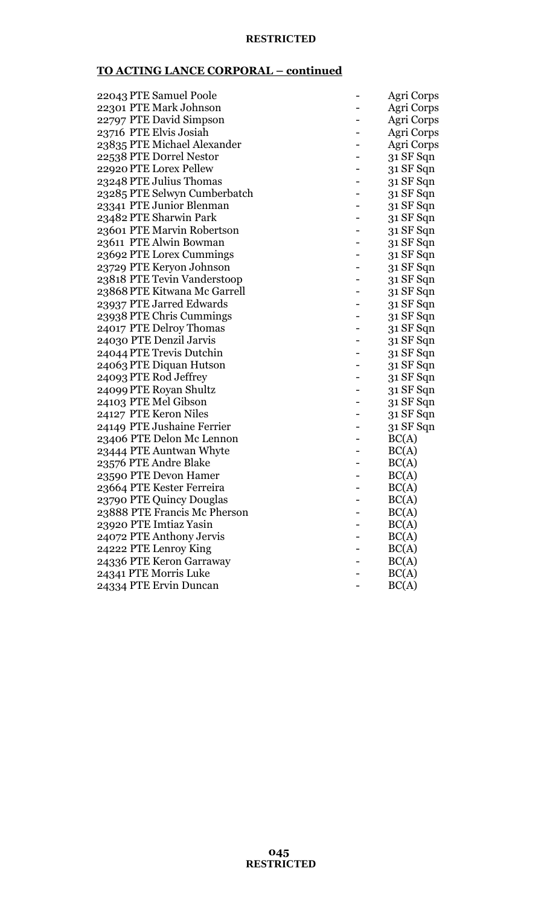| 22043 PTE Samuel Poole       |   | Agri Corps |
|------------------------------|---|------------|
| 22301 PTE Mark Johnson       |   | Agri Corps |
| 22797 PTE David Simpson      |   | Agri Corps |
| 23716 PTE Elvis Josiah       |   | Agri Corps |
| 23835 PTE Michael Alexander  |   | Agri Corps |
| 22538 PTE Dorrel Nestor      |   | 31 SF Sqn  |
| 22920 PTE Lorex Pellew       |   | 31 SF Sqn  |
| 23248 PTE Julius Thomas      |   | 31 SF Sqn  |
| 23285 PTE Selwyn Cumberbatch |   | 31 SF Sqn  |
| 23341 PTE Junior Blenman     |   | 31 SF Sqn  |
| 23482 PTE Sharwin Park       |   | 31 SF Sqn  |
| 23601 PTE Marvin Robertson   |   | 31 SF Sqn  |
| 23611 PTE Alwin Bowman       |   | 31 SF Sqn  |
| 23692 PTE Lorex Cummings     |   | 31 SF Sqn  |
| 23729 PTE Keryon Johnson     |   | 31 SF Sqn  |
| 23818 PTE Tevin Vanderstoop  |   | 31 SF Sqn  |
| 23868 PTE Kitwana Mc Garrell |   | 31 SF Sqn  |
| 23937 PTE Jarred Edwards     |   | 31 SF Sqn  |
| 23938 PTE Chris Cummings     |   | 31 SF Sqn  |
| 24017 PTE Delroy Thomas      |   | 31 SF Sqn  |
| 24030 PTE Denzil Jarvis      |   | 31 SF Sqn  |
| 24044 PTE Trevis Dutchin     |   | 31 SF Sqn  |
| 24063 PTE Diquan Hutson      |   | 31 SF Sqn  |
| 24093 PTE Rod Jeffrey        |   | 31 SF Sqn  |
| 24099 PTE Royan Shultz       |   | 31 SF Sqn  |
| 24103 PTE Mel Gibson         |   | 31 SF Sqn  |
| 24127 PTE Keron Niles        |   | 31 SF Sqn  |
| 24149 PTE Jushaine Ferrier   |   | 31 SF Sqn  |
| 23406 PTE Delon Mc Lennon    |   | BC(A)      |
| 23444 PTE Auntwan Whyte      |   | BC(A)      |
| 23576 PTE Andre Blake        |   | BC(A)      |
| 23590 PTE Devon Hamer        | - | BC(A)      |
| 23664 PTE Kester Ferreira    |   | BC(A)      |
| 23790 PTE Quincy Douglas     |   | BC(A)      |
| 23888 PTE Francis Mc Pherson |   | BC(A)      |
| 23920 PTE Imtiaz Yasin       |   | BC(A)      |
| 24072 PTE Anthony Jervis     |   | BC(A)      |
| 24222 PTE Lenroy King        |   | BC(A)      |
| 24336 PTE Keron Garraway     |   | BC(A)      |
| 24341 PTE Morris Luke        |   | BC(A)      |
| 24334 PTE Ervin Duncan       |   | BC(A)      |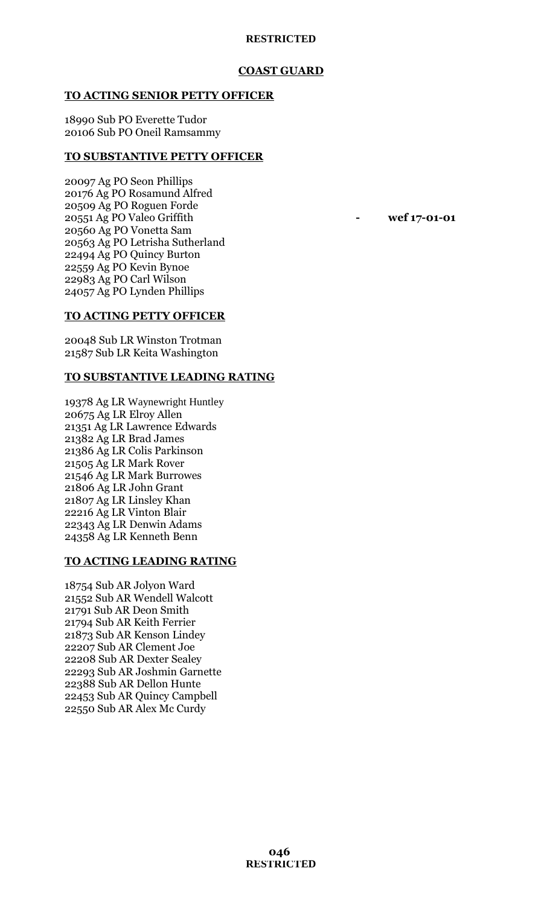# **COAST GUARD**

#### **TO ACTING SENIOR PETTY OFFICER**

18990 Sub PO Everette Tudor 20106 Sub PO Oneil Ramsammy

#### **TO SUBSTANTIVE PETTY OFFICER**

20097 Ag PO Seon Phillips 20176 Ag PO Rosamund Alfred 20509 Ag PO Roguen Forde 20551 Ag PO Valeo Griffith **- wef 17-01-01** 20560 Ag PO Vonetta Sam 20563 Ag PO Letrisha Sutherland 22494 Ag PO Quincy Burton 22559 Ag PO Kevin Bynoe 22983 Ag PO Carl Wilson 24057 Ag PO Lynden Phillips

## **TO ACTING PETTY OFFICER**

20048 Sub LR Winston Trotman 21587 Sub LR Keita Washington

# **TO SUBSTANTIVE LEADING RATING**

19378 Ag LR Waynewright Huntley 20675 Ag LR Elroy Allen 21351 Ag LR Lawrence Edwards 21382 Ag LR Brad James 21386 Ag LR Colis Parkinson 21505 Ag LR Mark Rover 21546 Ag LR Mark Burrowes 21806 Ag LR John Grant 21807 Ag LR Linsley Khan 22216 Ag LR Vinton Blair 22343 Ag LR Denwin Adams 24358 Ag LR Kenneth Benn

# **TO ACTING LEADING RATING**

18754 Sub AR Jolyon Ward 21552 Sub AR Wendell Walcott 21791 Sub AR Deon Smith 21794 Sub AR Keith Ferrier 21873 Sub AR Kenson Lindey 22207 Sub AR Clement Joe 22208 Sub AR Dexter Sealey 22293 Sub AR Joshmin Garnette 22388 Sub AR Dellon Hunte 22453 Sub AR Quincy Campbell 22550 Sub AR Alex Mc Curdy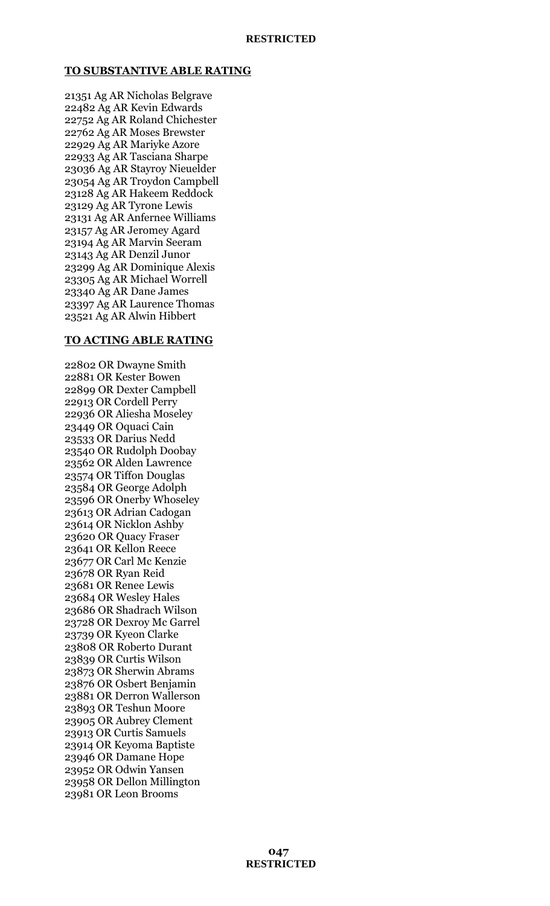## **TO SUBSTANTIVE ABLE RATING**

21351 Ag AR Nicholas Belgrave 22482 Ag AR Kevin Edwards 22752 Ag AR Roland Chichester 22762 Ag AR Moses Brewster 22929 Ag AR Mariyke Azore 22933 Ag AR Tasciana Sharpe 23036 Ag AR Stayroy Nieuelder 23054 Ag AR Troydon Campbell 23128 Ag AR Hakeem Reddock 23129 Ag AR Tyrone Lewis 23131 Ag AR Anfernee Williams 23157 Ag AR Jeromey Agard 23194 Ag AR Marvin Seeram 23143 Ag AR Denzil Junor 23299 Ag AR Dominique Alexis 23305 Ag AR Michael Worrell 23340 Ag AR Dane James 23397 Ag AR Laurence Thomas 23521 Ag AR Alwin Hibbert

#### **TO ACTING ABLE RATING**

22802 OR Dwayne Smith 22881 OR Kester Bowen 22899 OR Dexter Campbell 22913 OR Cordell Perry 22936 OR Aliesha Moseley 23449 OR Oquaci Cain 23533 OR Darius Nedd 23540 OR Rudolph Doobay 23562 OR Alden Lawrence 23574 OR Tiffon Douglas 23584 OR George Adolph 23596 OR Onerby Whoseley 23613 OR Adrian Cadogan 23614 OR Nicklon Ashby 23620 OR Quacy Fraser 23641 OR Kellon Reece 23677 OR Carl Mc Kenzie 23678 OR Ryan Reid 23681 OR Renee Lewis 23684 OR Wesley Hales 23686 OR Shadrach Wilson 23728 OR Dexroy Mc Garrel 23739 OR Kyeon Clarke 23808 OR Roberto Durant 23839 OR Curtis Wilson 23873 OR Sherwin Abrams 23876 OR Osbert Benjamin 23881 OR Derron Wallerson 23893 OR Teshun Moore 23905 OR Aubrey Clement 23913 OR Curtis Samuels 23914 OR Keyoma Baptiste 23946 OR Damane Hope 23952 OR Odwin Yansen 23958 OR Dellon Millington 23981 OR Leon Brooms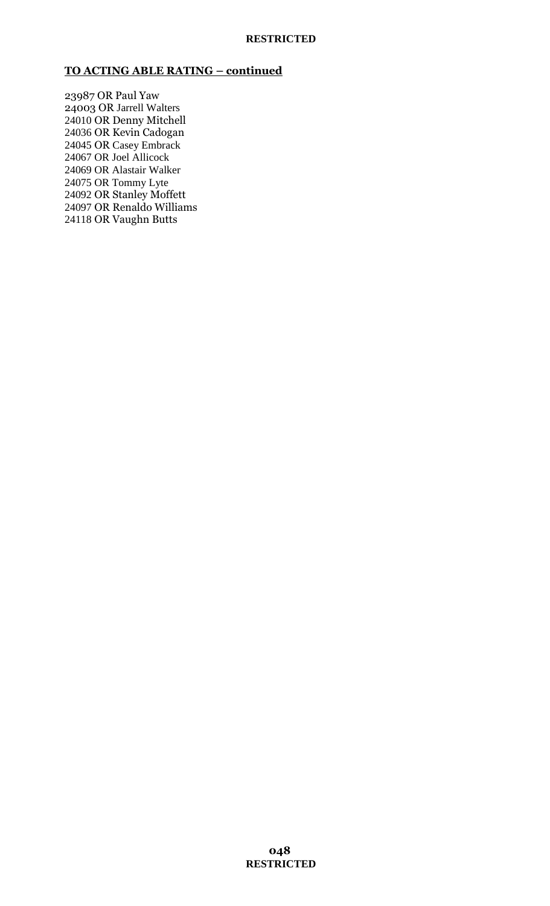# **TO ACTING ABLE RATING – continued**

23987 OR Paul Yaw 24003 OR Jarrell Walters 24010 OR Denny Mitchell 24036 OR Kevin Cadogan 24045 OR Casey Embrack 24067 OR Joel Allicock 24069 OR Alastair Walker 24075 OR Tommy Lyte 24092 OR Stanley Moffett 24097 OR Renaldo Williams 24118 OR Vaughn Butts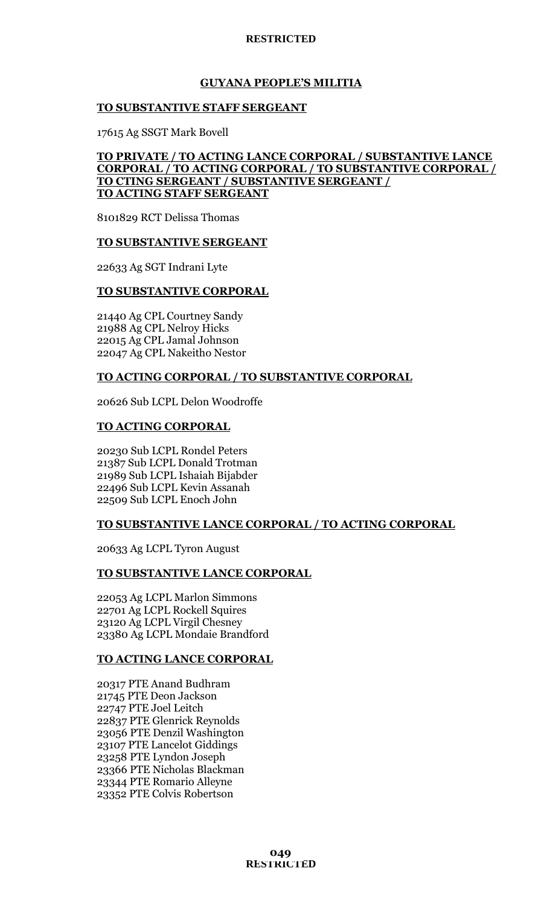# **GUYANA PEOPLE'S MILITIA**

# **TO SUBSTANTIVE STAFF SERGEANT**

17615 Ag SSGT Mark Bovell

# **TO PRIVATE / TO ACTING LANCE CORPORAL / SUBSTANTIVE LANCE CORPORAL / TO ACTING CORPORAL / TO SUBSTANTIVE CORPORAL / TO CTING SERGEANT / SUBSTANTIVE SERGEANT / TO ACTING STAFF SERGEANT**

8101829 RCT Delissa Thomas

## **TO SUBSTANTIVE SERGEANT**

22633 Ag SGT Indrani Lyte

# **TO SUBSTANTIVE CORPORAL**

21440 Ag CPL Courtney Sandy 21988 Ag CPL Nelroy Hicks 22015 Ag CPL Jamal Johnson 22047 Ag CPL Nakeitho Nestor

# **TO ACTING CORPORAL / TO SUBSTANTIVE CORPORAL**

20626 Sub LCPL Delon Woodroffe

# **TO ACTING CORPORAL**

20230 Sub LCPL Rondel Peters 21387 Sub LCPL Donald Trotman 21989 Sub LCPL Ishaiah Bijabder 22496 Sub LCPL Kevin Assanah 22509 Sub LCPL Enoch John

# **TO SUBSTANTIVE LANCE CORPORAL / TO ACTING CORPORAL**

20633 Ag LCPL Tyron August

## **TO SUBSTANTIVE LANCE CORPORAL**

22053 Ag LCPL Marlon Simmons 22701 Ag LCPL Rockell Squires 23120 Ag LCPL Virgil Chesney 23380 Ag LCPL Mondaie Brandford

# **TO ACTING LANCE CORPORAL**

20317 PTE Anand Budhram 21745 PTE Deon Jackson 22747 PTE Joel Leitch 22837 PTE Glenrick Reynolds 23056 PTE Denzil Washington 23107 PTE Lancelot Giddings 23258 PTE Lyndon Joseph 23366 PTE Nicholas Blackman 23344 PTE Romario Alleyne 23352 PTE Colvis Robertson